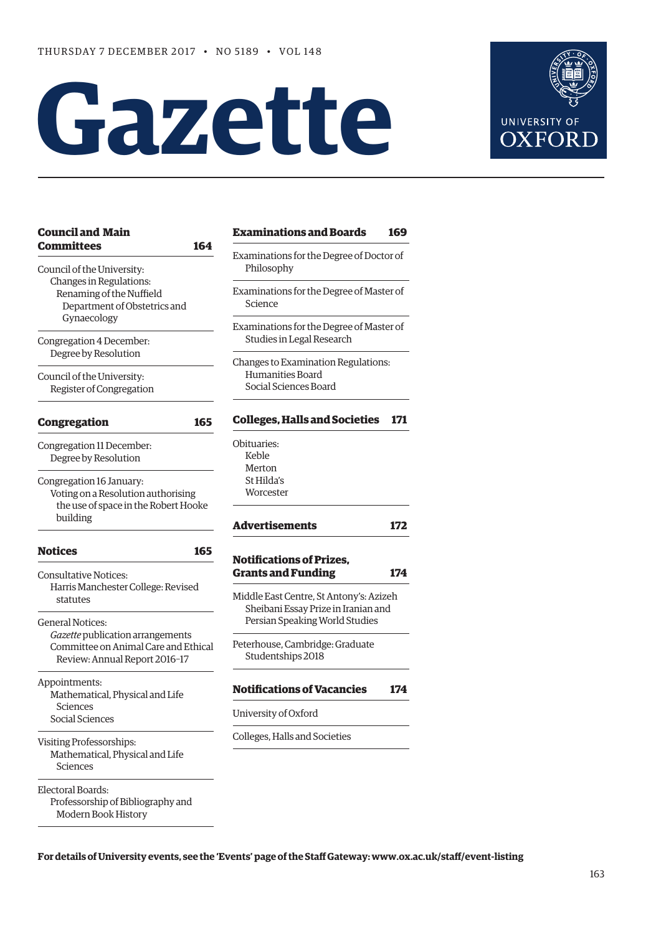# **Gazette**



| Examina<br>Philos<br>Examina<br>Scieno<br>Examina<br>Studie<br>Changes<br>Huma<br>Social<br><b>College</b><br>Obituarie<br>Keble |
|----------------------------------------------------------------------------------------------------------------------------------|
|                                                                                                                                  |
|                                                                                                                                  |
|                                                                                                                                  |
|                                                                                                                                  |
|                                                                                                                                  |
|                                                                                                                                  |
|                                                                                                                                  |
|                                                                                                                                  |
|                                                                                                                                  |
|                                                                                                                                  |
|                                                                                                                                  |
|                                                                                                                                  |
|                                                                                                                                  |
|                                                                                                                                  |
|                                                                                                                                  |
| Merto                                                                                                                            |
| St Hild                                                                                                                          |
| Worce                                                                                                                            |
|                                                                                                                                  |
|                                                                                                                                  |
| Adverti                                                                                                                          |
|                                                                                                                                  |
| <b>Notifica</b>                                                                                                                  |
| <b>Grants</b>                                                                                                                    |
|                                                                                                                                  |
| Middle E                                                                                                                         |
| Sheib                                                                                                                            |
| Persia                                                                                                                           |
|                                                                                                                                  |
| Peterhou                                                                                                                         |
| Stude                                                                                                                            |
|                                                                                                                                  |
| <b>Notifica</b>                                                                                                                  |
|                                                                                                                                  |
| Universit                                                                                                                        |
| Colleges,                                                                                                                        |
|                                                                                                                                  |
|                                                                                                                                  |
|                                                                                                                                  |
|                                                                                                                                  |
|                                                                                                                                  |
|                                                                                                                                  |
|                                                                                                                                  |

| <b>Examinations and Boards</b>                                                                                   | 169 |
|------------------------------------------------------------------------------------------------------------------|-----|
| Examinations for the Degree of Doctor of<br>Philosophy                                                           |     |
| Examinations for the Degree of Master of<br>Science                                                              |     |
| Examinations for the Degree of Master of<br>Studies in Legal Research                                            |     |
| Changes to Examination Regulations:<br>Humanities Board<br>Social Sciences Board                                 |     |
| <b>Colleges, Halls and Societies</b>                                                                             | 171 |
| Obituaries:<br>Keble<br>Merton<br>St Hilda's<br>Worcester                                                        |     |
| <b>Advertisements</b>                                                                                            | 172 |
| <b>Notifications of Prizes.</b><br><b>Grants and Funding</b>                                                     | 174 |
| Middle East Centre, St Antony's: Azizeh<br>Sheibani Essay Prize in Iranian and<br>Persian Speaking World Studies |     |
| Peterhouse, Cambridge: Graduate<br>Studentships 2018                                                             |     |
| <b>Notifications of Vacancies</b>                                                                                | 174 |
| University of Oxford                                                                                             |     |
|                                                                                                                  |     |

**For details of University events, see the 'Events' page of the Staf Gateway: [www.ox.ac.uk/staf/event-listing](http://www.ox.ac.uk/staff/event-listing)**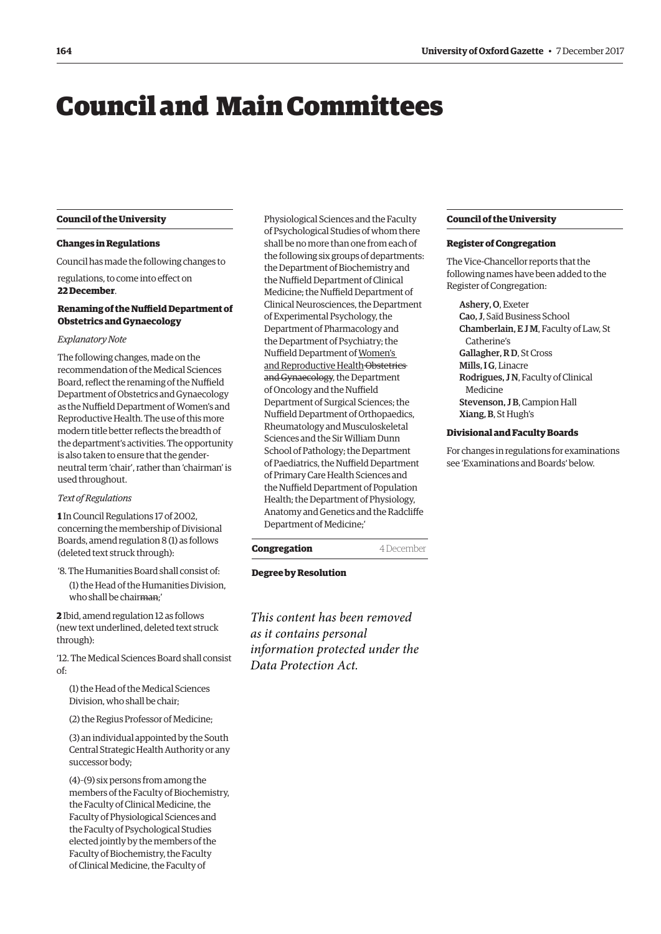# <span id="page-1-0"></span>Council and Main Committees

#### **Council of the University**

#### **Changes in Regulations**

Council has made the following changes to

regulations, to come into efect on **22 December**.

# **Renaming of the Nuffield Department of Obstetrics and Gynaecology**

# *Explanatory Note*

The following changes, made on the recommendation of the Medical Sciences Board, reflect the renaming of the Nuffield Department of Obstetrics and Gynaecology as the Nuffield Department of Women's and Reproductive Health. The use of this more modern title better refects the breadth of the department's activities. The opportunity is also taken to ensure that the genderneutral term 'chair', rather than 'chairman' is used throughout.

#### *Text of Regulations*

**1** In Council Regulations 17 of 2002, concerning the membership of Divisional Boards, amend regulation 8 (1) as follows (deleted text struck through):

'8. The Humanities Board shall consist of: (1) the Head of the Humanities Division, who shall be chairman;'

**2** Ibid, amend regulation 12 as follows (new text underlined, deleted text struck through):

'12. The Medical Sciences Board shall consist of:

(1) the Head of the Medical Sciences Division, who shall be chair;

(2) the Regius Professor of Medicine;

(3) an individual appointed by the South Central Strategic Health Authority or any successor body;

(4)–(9) six persons from among the members of the Faculty of Biochemistry, the Faculty of Clinical Medicine, the Faculty of Physiological Sciences and the Faculty of Psychological Studies elected jointly by the members of the Faculty of Biochemistry, the Faculty of Clinical Medicine, the Faculty of

Physiological Sciences and the Faculty of Psychological Studies of whom there shall be no more than one from each of the following six groups of departments: the Department of Biochemistry and the Nuffield Department of Clinical Medicine; the Nuffield Department of Clinical Neurosciences, the Department of Experimental Psychology, the Department of Pharmacology and the Department of Psychiatry; the Nuffield Department of Women's and Reproductive Health Obstetrics and Gynaecology, the Department of Oncology and the Nuffield Department of Surgical Sciences; the Nuffield Department of Orthopaedics, Rheumatology and Musculoskeletal Sciences and the Sir William Dunn School of Pathology; the Department of Paediatrics, the Nuffield Department of Primary Care Health Sciences and the Nuffield Department of Population Health; the Department of Physiology, Anatomy and Genetics and the Radclife Department of Medicine;'

# **Congregation** 4 December

# **Degree by Resolution**

*This content has been removed as it contains personal information protected under the Data Protection Act.*

# **Council of the University**

#### **Register of Congregation**

The Vice-Chancellor reports that the following names have been added to the Register of Congregation:

# Ashery, O, Exeter

Cao, J, Saïd Business School Chamberlain, E J M, Faculty of Law, St Catherine's Gallagher, R D, St Cross Mills, I G. Linacre Rodrigues, J N, Faculty of Clinical Medicine Stevenson, J B, Campion Hall Xiang, B, St Hugh's

## **Divisional and Faculty Boards**

For changes in regulations for examinations see '[Examinations and Boards'](#page-6-0) below.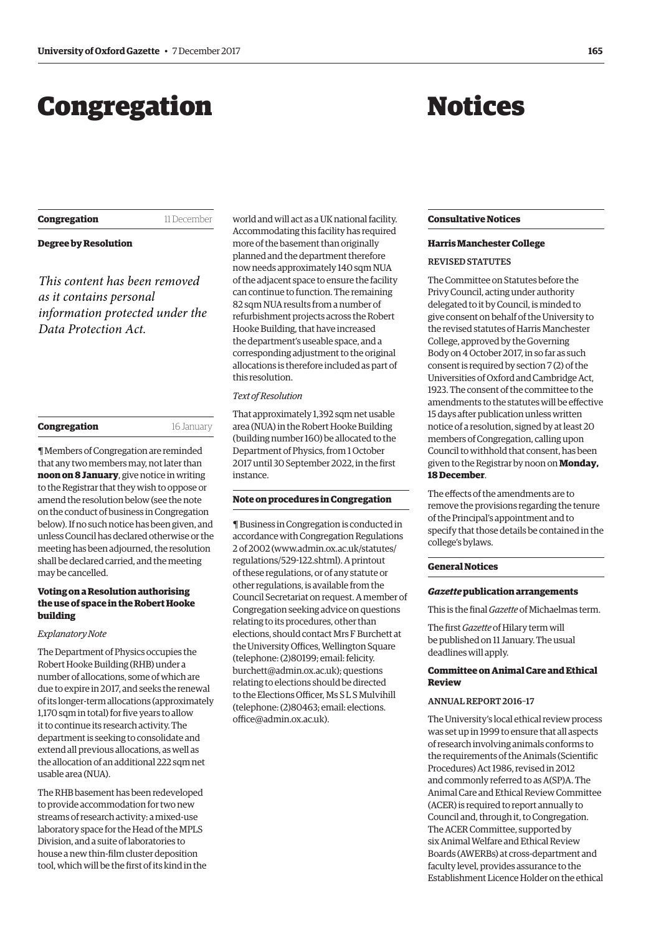# <span id="page-2-0"></span>Congregation

# Notices

**Congregation** 11 December

# **Degree by Resolution**

*This content has been removed as it contains personal information protected under the Data Protection Act.*

| Congregation | 16 January |
|--------------|------------|
|              |            |

¶ Members of Congregation are reminded that any two members may, not later than **noon on 8 January**, give notice in writing to the Registrar that they wish to oppose or amend the resolution below (see the note on the conduct of business in Congregation below). If no such notice has been given, and unless Council has declared otherwise or the meeting has been adjourned, the resolution shall be declared carried, and the meeting may be cancelled.

# **Voting on a Resolution authorising the use of space in the Robert Hooke building**

#### *Explanatory Note*

The Department of Physics occupies the Robert Hooke Building (RHB) under a number of allocations, some of which are due to expire in 2017, and seeks the renewal of its longer-term allocations (approximately 1.170 sqm in total) for five years to allow it to continue its research activity. The department is seeking to consolidate and extend all previous allocations, as well as the allocation of an additional 222 sqm net usable area (NUA).

The RHB basement has been redeveloped to provide accommodation for two new streams of research activity: a mixed-use laboratory space for the Head of the MPLS Division, and a suite of laboratories to house a new thin-flm cluster deposition tool, which will be the frst of its kind in the world and will act as a UK national facility. Accommodating this facility has required more of the basement than originally planned and the department therefore now needs approximately 140 sqm NUA of the adjacent space to ensure the facility can continue to function. The remaining 82 sqm NUA results from a number of refurbishment projects across the Robert Hooke Building, that have increased the department's useable space, and a corresponding adjustment to the original allocations is therefore included as part of this resolution.

# *Text of Resolution*

That approximately 1,392 sqm net usable area (NUA) in the Robert Hooke Building (building number 160) be allocated to the Department of Physics, from 1 October 2017 until 30 September 2022, in the frst instance.

#### **Note on procedures in Congregation**

¶ Business in Congregation is conducted in accordance with Congregation Regulations 2 of 2002 [\(www.admin.ox.ac.uk/statutes/](http://www.admin.ox.ac.uk/statutes/regulations/529-122.shtml)  [regulations/529-122.shtml\). A p](http://www.admin.ox.ac.uk/statutes/regulations/529-122.shtml)rintout of these regulations, or of any statute or other regulations, is available from the Council Secretariat on request. A member of Congregation seeking advice on questions relating to its procedures, other than elections, should contact Mrs F Burchett at the University Offices, Wellington Square (telephone: (2)80199; email: felicity. [burchett@admin.ox.ac.uk\); questions](mailto:felicity.burchett@admin.ox.ac.uk)  relating to elections should be directed to the Elections Officer, Ms S L S Mulvihill [\(telephone: \(2\)80463; email: elections.](mailto:elections.office@admin.ox.ac.uk)  office@admin.ox.ac.uk).

# **Consultative Notices**

# **Harris Manchester College**

# REVISED STATUTES

The Committee on Statutes before the Privy Council, acting under authority delegated to it by Council, is minded to give consent on behalf of the University to the revised statutes of Harris Manchester College, approved by the Governing Body on 4 October 2017, in so far as such consent is required by section 7 (2) of the Universities of Oxford and Cambridge Act, 1923. The consent of the committee to the amendments to the statutes will be efective 15 days after publication unless written notice of a resolution, signed by at least 20 members of Congregation, calling upon Council to withhold that consent, has been given to the Registrar by noon on **Monday, 18 December**.

The effects of the amendments are to remove the provisions regarding the tenure of the Principal's appointment and to specify that those details be contained in the college's bylaws.

#### **General Notices**

#### *Gazette* **publication arrangements**

This is the fnal *Gazette* of Michaelmas term.

The frst *Gazette* of Hilary term will be published on 11 January. The usual deadlines will apply.

# **Committee on Animal Care and Ethical Review**

# ANNUAL REPORT 2016–17

The University's local ethical review process was set up in 1999 to ensure that all aspects of research involving animals conforms to the requirements of the Animals (Scientifc Procedures) Act 1986, revised in 2012 and commonly referred to as A(SP)A. The Animal Care and Ethical Review Committee (ACER) is required to report annually to Council and, through it, to Congregation. The ACER Committee, supported by six Animal Welfare and Ethical Review Boards (AWERBs) at cross-department and faculty level, provides assurance to the Establishment Licence Holder on the ethical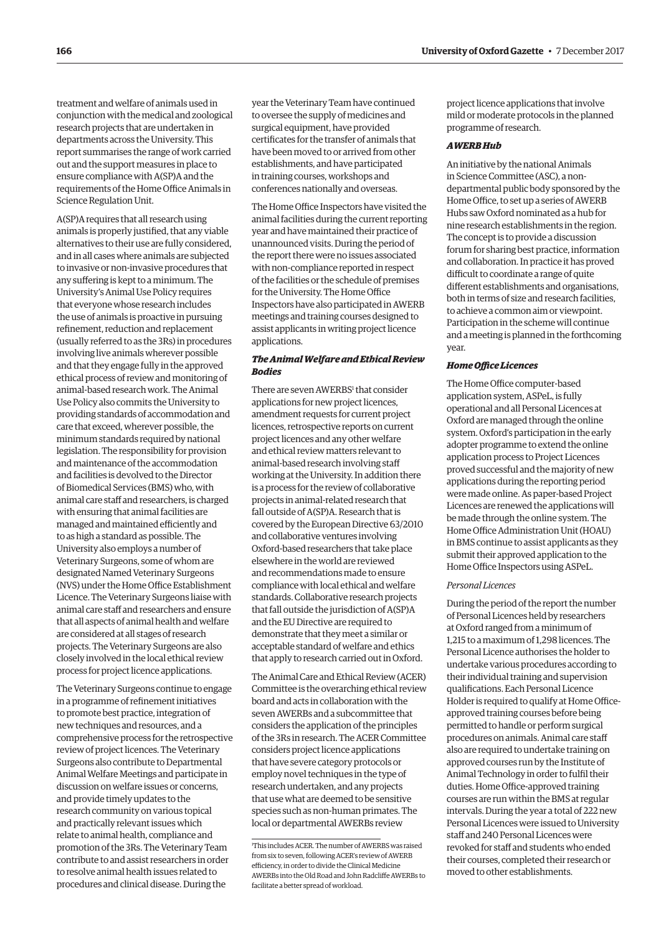treatment and welfare of animals used in conjunction with the medical and zoological research projects that are undertaken in departments across the University. This report summarises the range of work carried out and the support measures in place to ensure compliance with A(SP)A and the requirements of the Home Office Animals in Science Regulation Unit.

A(SP)A requires that all research using animals is properly justifed, that any viable alternatives to their use are fully considered, and in all cases where animals are subjected to invasive or non-invasive procedures that any sufering is kept to a minimum. The University's Animal Use Policy requires that everyone whose research includes the use of animals is proactive in pursuing refnement, reduction and replacement (usually referred to as the 3Rs) in procedures involving live animals wherever possible and that they engage fully in the approved ethical process of review and monitoring of animal-based research work. The Animal Use Policy also commits the University to providing standards of accommodation and care that exceed, wherever possible, the minimum standards required by national legislation. The responsibility for provision and maintenance of the accommodation and facilities is devolved to the Director of Biomedical Services (BMS) who, with animal care staff and researchers, is charged with ensuring that animal facilities are managed and maintained efficiently and to as high a standard as possible. The University also employs a number of Veterinary Surgeons, some of whom are designated Named Veterinary Surgeons (NVS) under the Home Office Establishment Licence. The Veterinary Surgeons liaise with animal care staff and researchers and ensure that all aspects of animal health and welfare are considered at all stages of research projects. The Veterinary Surgeons are also closely involved in the local ethical review process for project licence applications.

The Veterinary Surgeons continue to engage in a programme of refnement initiatives to promote best practice, integration of new techniques and resources, and a comprehensive process for the retrospective review of project licences. The Veterinary Surgeons also contribute to Departmental Animal Welfare Meetings and participate in discussion on welfare issues or concerns, and provide timely updates to the research community on various topical and practically relevant issues which relate to animal health, compliance and promotion of the 3Rs. The Veterinary Team contribute to and assist researchers in order to resolve animal health issues related to procedures and clinical disease. During the

year the Veterinary Team have continued to oversee the supply of medicines and surgical equipment, have provided certifcates for the transfer of animals that have been moved to or arrived from other establishments, and have participated in training courses, workshops and conferences nationally and overseas.

The Home Office Inspectors have visited the animal facilities during the current reporting year and have maintained their practice of unannounced visits. During the period of the report there were no issues associated with non-compliance reported in respect of the facilities or the schedule of premises for the University. The Home Office Inspectors have also participated in AWERB meetings and training courses designed to assist applicants in writing project licence applications.

# *The Animal Welfare and Ethical Review Bodies*

There are seven AWERBS<sup>1</sup> that consider applications for new project licences, amendment requests for current project licences, retrospective reports on current project licences and any other welfare and ethical review matters relevant to animal-based research involving staf working at the University. In addition there is a process for the review of collaborative projects in animal-related research that fall outside of A(SP)A. Research that is covered by the European Directive 63/2010 and collaborative ventures involving Oxford-based researchers that take place elsewhere in the world are reviewed and recommendations made to ensure compliance with local ethical and welfare standards. Collaborative research projects that fall outside the jurisdiction of A(SP)A and the EU Directive are required to demonstrate that they meet a similar or acceptable standard of welfare and ethics that apply to research carried out in Oxford.

The Animal Care and Ethical Review (ACER) Committee is the overarching ethical review board and acts in collaboration with the seven AWERBs and a subcommittee that considers the application of the principles of the 3Rs in research. The ACER Committee considers project licence applications that have severe category protocols or employ novel techniques in the type of research undertaken, and any projects that use what are deemed to be sensitive species such as non-human primates. The local or departmental AWERBs review

project licence applications that involve mild or moderate protocols in the planned programme of research.

## *AWERB Hub*

An initiative by the national Animals in Science Committee (ASC), a nondepartmental public body sponsored by the Home Office, to set up a series of AWERB Hubs saw Oxford nominated as a hub for nine research establishments in the region. The concept is to provide a discussion forum for sharing best practice, information and collaboration. In practice it has proved difficult to coordinate a range of quite diferent establishments and organisations, both in terms of size and research facilities, to achieve a common aim or viewpoint. Participation in the scheme will continue and a meeting is planned in the forthcoming year.

# **Home Office Licences**

The Home Office computer-based application system, ASPeL, is fully operational and all Personal Licences at Oxford are managed through the online system. Oxford's participation in the early adopter programme to extend the online application process to Project Licences proved successful and the majority of new applications during the reporting period were made online. As paper-based Project Licences are renewed the applications will be made through the online system. The Home Office Administration Unit (HOAU) in BMS continue to assist applicants as they submit their approved application to the Home Office Inspectors using ASPeL.

#### *Personal Licences*

During the period of the report the number of Personal Licences held by researchers at Oxford ranged from a minimum of 1,215 to a maximum of 1,298 licences. The Personal Licence authorises the holder to undertake various procedures according to their individual training and supervision qualifcations. Each Personal Licence Holder is required to qualify at Home Officeapproved training courses before being permitted to handle or perform surgical procedures on animals. Animal care staf also are required to undertake training on approved courses run by the Institute of Animal Technology in order to fulfl their duties. Home Office-approved training courses are run within the BMS at regular intervals. During the year a total of 222 new Personal Licences were issued to University staff and 240 Personal Licences were revoked for staff and students who ended their courses, completed their research or moved to other establishments.

<sup>1</sup> This includes ACER. The number of AWERBS was raised from six to seven, following ACER's review of AWERB efficiency, in order to divide the Clinical Medicine AWERBs into the Old Road and John Radclife AWERBs to facilitate a better spread of workload.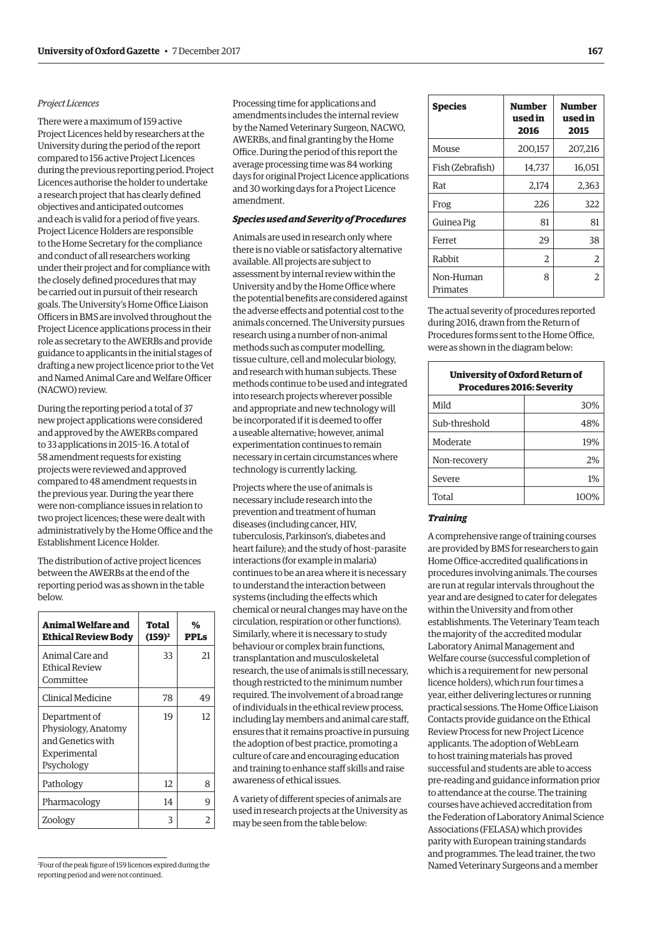#### *Project Licences*

There were a maximum of 159 active Project Licences held by researchers at the University during the period of the report compared to 156 active Project Licences during the previous reporting period. Project Licences authorise the holder to undertake a research project that has clearly defned objectives and anticipated outcomes and each is valid for a period of fve years. Project Licence Holders are responsible to the Home Secretary for the compliance and conduct of all researchers working under their project and for compliance with the closely defned procedures that may be carried out in pursuit of their research goals. The University's Home Office Liaison Officers in BMS are involved throughout the Project Licence applications process in their role as secretary to the AWERBs and provide guidance to applicants in the initial stages of drafting a new project licence prior to the Vet and Named Animal Care and Welfare Officer (NACWO) review.

During the reporting period a total of 37 new project applications were considered and approved by the AWERBs compared to 33 applications in 2015–16. A total of 58 amendment requests for existing projects were reviewed and approved compared to 48 amendment requests in the previous year. During the year there were non-compliance issues in relation to two project licences; these were dealt with administratively by the Home Office and the Establishment Licence Holder.

The distribution of active project licences between the AWERBs at the end of the reporting period was as shown in the table below.

| Animal Welfare and<br><b>Ethical Review Body</b>                                        | Total<br>$(159)^2$ | %<br><b>PPLs</b> |
|-----------------------------------------------------------------------------------------|--------------------|------------------|
| Animal Care and<br><b>Ethical Review</b><br>Committee                                   | 33                 | 21               |
| Clinical Medicine                                                                       | 78                 | 49               |
| Department of<br>Physiology, Anatomy<br>and Genetics with<br>Experimental<br>Psychology | 19                 | 12               |
| Pathology                                                                               | 12                 | 8                |
| Pharmacology                                                                            | 14                 | q                |
| Zoology                                                                                 | 3                  |                  |

Processing time for applications and amendments includes the internal review by the Named Veterinary Surgeon, NACWO, AWERBs, and final granting by the Home Office. During the period of this report the average processing time was 84 working days for original Project Licence applications and 30 working days for a Project Licence amendment.

# *Species used and Severity of Procedures*

Animals are used in research only where there is no viable or satisfactory alternative available. All projects are subject to assessment by internal review within the University and by the Home Office where the potential benefts are considered against the adverse effects and potential cost to the animals concerned. The University pursues research using a number of non-animal methods such as computer modelling, tissue culture, cell and molecular biology, and research with human subjects. These methods continue to be used and integrated into research projects wherever possible and appropriate and new technology will be incorporated if it is deemed to offer a useable alternative; however, animal experimentation continues to remain necessary in certain circumstances where technology is currently lacking.

Projects where the use of animals is necessary include research into the prevention and treatment of human diseases (including cancer, HIV, tuberculosis, Parkinson's, diabetes and heart failure); and the study of host–parasite interactions (for example in malaria) continues to be an area where it is necessary to understand the interaction between systems (including the efects which chemical or neural changes may have on the circulation, respiration or other functions). Similarly, where it is necessary to study behaviour or complex brain functions, transplantation and musculoskeletal research, the use of animals is still necessary, though restricted to the minimum number required. The involvement of a broad range of individuals in the ethical review process, including lay members and animal care staf, ensures that it remains proactive in pursuing the adoption of best practice, promoting a culture of care and encouraging education and training to enhance staff skills and raise awareness of ethical issues.

A variety of diferent species of animals are used in research projects at the University as may be seen from the table below:

| <b>Species</b>        | Number<br>used in<br>2016 | <b>Number</b><br>used in<br>2015 |
|-----------------------|---------------------------|----------------------------------|
| Mouse                 | 200,157                   | 207,216                          |
| Fish (Zebrafish)      | 14,737                    | 16,051                           |
| Rat                   | 2,174                     | 2,363                            |
| Frog                  | 226                       | 322                              |
| Guinea Pig            | 81                        | 81                               |
| Ferret                | 29                        | 38                               |
| Rabbit                | 2                         | 2                                |
| Non-Human<br>Primates | 8                         | 2                                |

The actual severity of procedures reported during 2016, drawn from the Return of Procedures forms sent to the Home Office, were as shown in the diagram below:

| University of Oxford Return of<br><b>Procedures 2016: Severity</b> |      |  |
|--------------------------------------------------------------------|------|--|
| Mild                                                               | 30%  |  |
| Sub-threshold                                                      | 48%  |  |
| Moderate                                                           | 19%  |  |
| Non-recovery                                                       | 2%   |  |
| Severe                                                             | 1%   |  |
| Total                                                              | 100% |  |

#### *Training*

A comprehensive range of training courses are provided by BMS for researchers to gain Home Office-accredited qualifications in procedures involving animals. The courses are run at regular intervals throughout the year and are designed to cater for delegates within the University and from other establishments. The Veterinary Team teach the majority of the accredited modular Laboratory Animal Management and Welfare course (successful completion of which is a requirement for new personal licence holders), which run four times a year, either delivering lectures or running practical sessions. The Home Office Liaison Contacts provide guidance on the Ethical Review Process for new Project Licence applicants. The adoption of WebLearn to host training materials has proved successful and students are able to access pre-reading and guidance information prior to attendance at the course. The training courses have achieved accreditation from the Federation of Laboratory Animal Science Associations (FELASA) which provides parity with European training standards and programmes. The lead trainer, the two Named Veterinary Surgeons and a member

2 Four of the peak fgure of 159 licences expired during the reporting period and were not continued.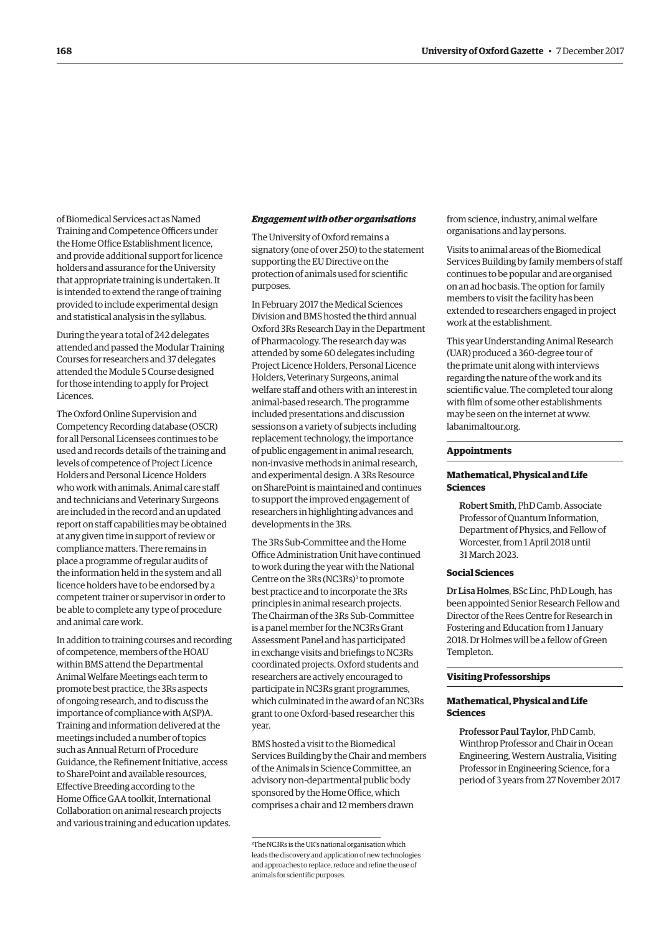of Biomedical Services act as Named Training and Competence Officers under the Home Office Establishment licence, and provide additional support for licence holders and assurance for the University that appropriate training is undertaken. It is intended to extend the range of training provided to include experimental design and statistical analysis in the syllabus.

During the year a total of 242 delegates attended and passed the Modular Training Courses for researchers and 37 delegates attended the Module 5 Course designed for those intending to apply for Project Licences.

The Oxford Online Supervision and Competency Recording database (OSCR) for all Personal Licensees continues to be used and records details of the training and levels of competence of Project Licence Holders and Personal Licence Holders who work with animals. Animal care staf and technicians and Veterinary Surgeons are included in the record and an updated report on staff capabilities may be obtained at any given time in support of review or compliance matters. There remains in place a programme of regular audits of the information held in the system and all licence holders have to be endorsed by a competent trainer or supervisor in order to be able to complete any type of procedure and animal care work.

In addition to training courses and recording of competence, members of the HOAU within BMS attend the Departmental Animal Welfare Meetings each term to promote best practice, the 3Rs aspects of ongoing research, and to discuss the importance of compliance with A(SP)A. Training and information delivered at the meetings included a number of topics such as Annual Return of Procedure Guidance, the Refnement Initiative, access to SharePoint and available resources, Efective Breeding according to the Home Office GAA toolkit. International Collaboration on animal research projects and various training and education updates.

#### *Engagement with other organisations*

The University of Oxford remains a signatory (one of over 250) to the statement supporting the EU Directive on the protection of animals used for scientifc purposes.

In February 2017 the Medical Sciences Division and BMS hosted the third annual Oxford 3Rs Research Day in the Department of Pharmacology. The research day was attended by some 60 delegates including Project Licence Holders, Personal Licence Holders, Veterinary Surgeons, animal welfare staff and others with an interest in animal-based research. The programme included presentations and discussion sessions on a variety of subjects including replacement technology, the importance of public engagement in animal research, non-invasive methods in animal research, and experimental design. A 3Rs Resource on SharePoint is maintained and continues to support the improved engagement of researchers in highlighting advances and developments in the 3Rs.

The 3Rs Sub-Committee and the Home Office Administration Unit have continued to work during the year with the National Centre on the 3Rs (NC3Rs)<sup>3</sup> to promote best practice and to incorporate the 3Rs principles in animal research projects. The Chairman of the 3Rs Sub-Committee is a panel member for the NC3Rs Grant Assessment Panel and has participated in exchange visits and briefngs to NC3Rs coordinated projects. Oxford students and researchers are actively encouraged to participate in NC3Rs grant programmes, which culminated in the award of an NC3Rs grant to one Oxford-based researcher this year.

BMS hosted a visit to the Biomedical Services Building by the Chair and members of the Animals in Science Committee, an advisory non-departmental public body sponsored by the Home Office, which comprises a chair and 12 members drawn

from science, industry, animal welfare organisations and lay persons.

Visits to animal areas of the Biomedical Services Building by family members of staf continues to be popular and are organised on an ad hoc basis. The option for family members to visit the facility has been extended to researchers engaged in project work at the establishment.

This year Understanding Animal Research (UAR) produced a 360-degree tour of the primate unit along with interviews regarding the nature of the work and its scientific value. The completed tour along with flm of some other establishments may be seen on the internet at [www.](http://www.labanimaltour.org)  [labanimaltour.org.](http://www.labanimaltour.org) 

#### **Appointments**

## **Mathematical, Physical and Life Sciences**

Robert Smith, PhD Camb, Associate Professor of Quantum Information, Department of Physics, and Fellow of Worcester, from 1 April 2018 until 31 March 2023.

#### **Social Sciences**

Dr Lisa Holmes, BSc Linc, PhD Lough, has been appointed Senior Research Fellow and Director of the Rees Centre for Research in Fostering and Education from 1 January 2018. Dr Holmes will be a fellow of Green Templeton.

#### **Visiting Professorships**

## **Mathematical, Physical and Life Sciences**

Professor Paul Taylor, PhD Camb, Winthrop Professor and Chair in Ocean Engineering, Western Australia, Visiting Professor in Engineering Science, for a period of 3 years from 27 November 2017

<sup>3</sup> The NC3Rs is the UK's national organisation which leads the discovery and application of new technologies and approaches to replace, reduce and refne the use of animals for scientifc purposes.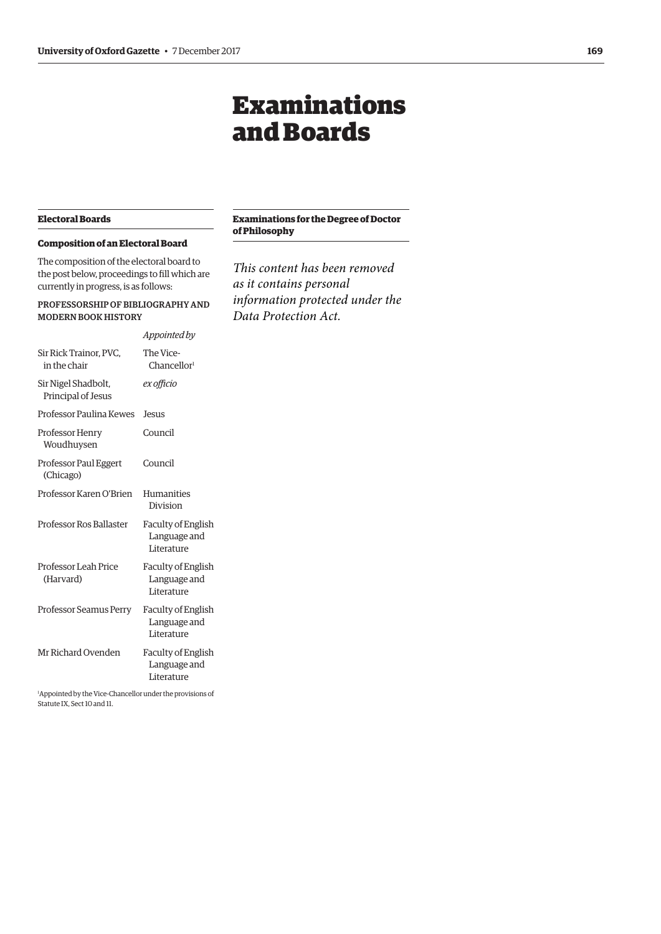# Examinations and Boards

# <span id="page-6-0"></span>**Electoral Boards**

# **Composition of an Electoral Board**

The composition of the electoral board to the post below, proceedings to fill which are currently in progress, is as follows:

# PROFESSORSHIP OF BIBLIOGRAPHY AND MODERN BOOK HISTORY

|                                           | Appointed by                                            |
|-------------------------------------------|---------------------------------------------------------|
| Sir Rick Trainor, PVC,<br>in the chair    | The Vice-<br>Chancellor <sup>1</sup>                    |
| Sir Nigel Shadbolt,<br>Principal of Jesus | ex officio                                              |
| Professor Paulina Kewes                   | <b>Jesus</b>                                            |
| Professor Henry<br>Woudhuysen             | Council                                                 |
| Professor Paul Eggert<br>(Chicago)        | Council                                                 |
| Professor Karen O'Brien                   | Humanities<br>Division                                  |
| Professor Ros Ballaster                   | <b>Faculty of English</b><br>Language and<br>Literature |
| Professor Leah Price<br>(Harvard)         | <b>Faculty of English</b><br>Language and<br>Literature |
| Professor Seamus Perry                    | <b>Faculty of English</b><br>Language and<br>Literature |
| Mr Richard Ovenden                        | <b>Faculty of English</b><br>Language and<br>Literature |

1 Appointed by the Vice-Chancellor under the provisions of Statute IX, Sect 10 and 11.

# **Examinations for the Degree of Doctor of Philosophy**

*This content has been removed as it contains personal information protected under the Data Protection Act.*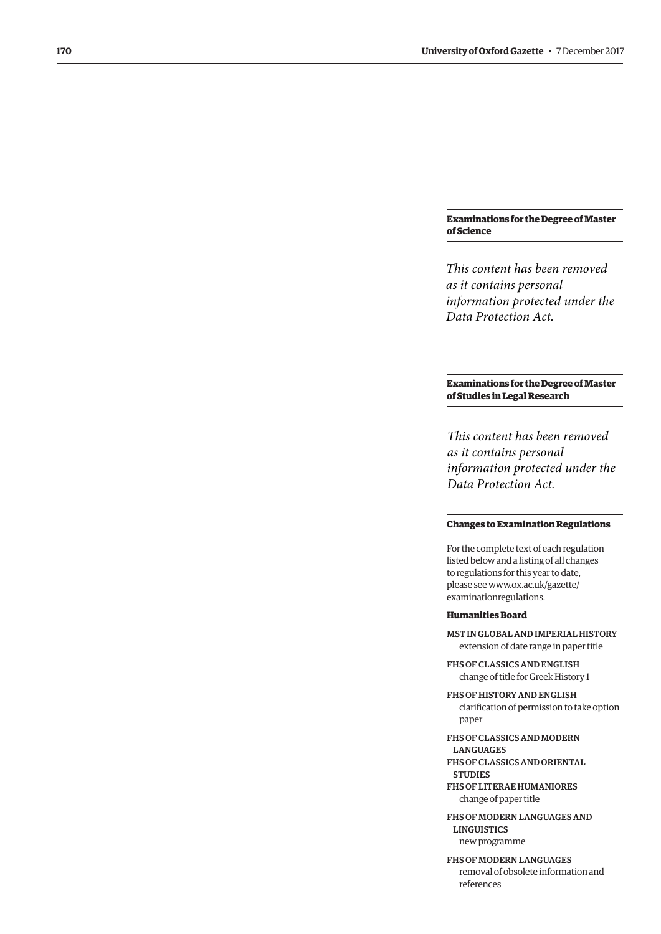# **Examinations for the Degree of Master of Science**

*This content has been removed as it contains personal information protected under the Data Protection Act.*

# **Examinations for the Degree of Master of Studies in Legal Research**

*This content has been removed as it contains personal information protected under the Data Protection Act.*

# **Changes to Examination Regulations**

For the complete text of each regulation listed below and a listing of all changes to regulations for this year to date, [please see www.ox.ac.uk/gazette/](www.ox.ac.uk/gazette/examinationregulations)  examinationregulations.

#### **Humanities Board**

MST IN GLOBAL AND IMPERIAL HISTORY extension of date range in paper title

FHS OF CLASSICS AND ENGLISH change of title for Greek History 1

FHS OF HISTORY AND ENGLISH clarifcation of permission to take option paper

FHS OF CLASSICS AND MODERN LANGUAGES FHS OF CLASSICS AND ORIENTAL

FHS OF LITERAE HUMANIORES change of paper title

**STUDIES** 

FHS OF MODERN LANGUAGES AND **LINGUISTICS** new programme

FHS OF MODERN LANGUAGES removal of obsolete information and references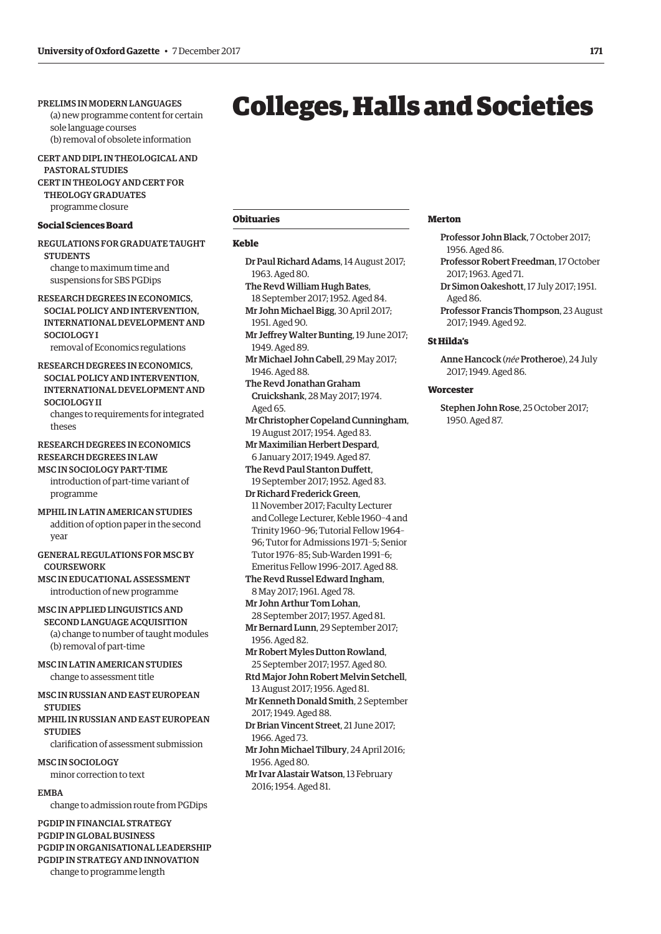# <span id="page-8-0"></span>PRELIMS IN MODERN LANGUAGES

(a) new programme content for certain sole language courses (b) removal of obsolete information

CERT AND DIPL IN THEOLOGICAL AND PASTORAL STUDIES CERT IN THEOLOGY AND CERT FOR THEOLOGY GRADUATES programme closure

**Social Sciences Board** 

REGULATIONS FOR GRADUATE TAUGHT **STUDENTS** change to maximum time and

suspensions for SBS PGDips

RESEARCH DEGREES IN ECONOMICS, SOCIAL POLICY AND INTERVENTION, INTERNATIONAL DEVELOPMENT AND SOCIOLOGY I

removal of Economics regulations

# RESEARCH DEGREES IN ECONOMICS, SOCIAL POLICY AND INTERVENTION, INTERNATIONAL DEVELOPMENT AND SOCIOLOGY II

changes to requirements for integrated theses

# RESEARCH DEGREES IN ECONOMICS RESEARCH DEGREES IN LAW MSC IN SOCIOLOGY PART-TIME

introduction of part-time variant of programme

- MPHIL IN LATIN AMERICAN STUDIES addition of option paper in the second year
- GENERAL REGULATIONS FOR MSC BY **COURSEWORK**

MSC IN EDUCATIONAL ASSESSMENT introduction of new programme

MSC IN APPLIED LINGUISTICS AND

SECOND LANGUAGE ACQUISITION (a) change to number of taught modules (b) removal of part-time

MSC IN LATIN AMERICAN STUDIES change to assessment title

MSC IN RUSSIAN AND EAST EUROPEAN **STUDIES** 

MPHIL IN RUSSIAN AND EAST EUROPEAN **STUDIES** 

clarifcation of assessment submission

MSC IN SOCIOLOGY minor correction to text

# EMBA

change to admission route from PGDips

PGDIP IN FINANCIAL STRATEGY PGDIP IN GLOBAL BUSINESS PGDIP IN ORGANISATIONAL LEADERSHIP PGDIP IN STRATEGY AND INNOVATION

change to programme length

# Colleges, Halls and Societies

# **Obituaries**

#### **Keble**

- Dr Paul Richard Adams, 14 August 2017; 1963. Aged 80.
- The Revd William Hugh Bates, 18 September 2017; 1952. Aged 84.
- Mr John Michael Bigg, 30 April 2017; 1951. Aged 90.
- Mr Jefrey Walter Bunting, 19 June 2017; 1949. Aged 89.
- Mr Michael John Cabell, 29 May 2017; 1946. Aged 88.
- The Revd Jonathan Graham Cruickshank, 28 May 2017; 1974. Aged 65.

Mr Christopher Copeland Cunningham, 19 August 2017; 1954. Aged 83.

- Mr Maximilian Herbert Despard, 6 January 2017; 1949. Aged 87.
- The Revd Paul Stanton Dufett, 19 September 2017; 1952. Aged 83.
- Dr Richard Frederick Green, 11 November 2017; Faculty Lecturer and College Lecturer, Keble 1960–4 and Trinity 1960–96; Tutorial Fellow 1964– 96; Tutor for Admissions 1971–5; Senior Tutor 1976–85; Sub-Warden 1991–6; Emeritus Fellow 1996–2017. Aged 88.
- The Revd Russel Edward Ingham, 8 May 2017; 1961. Aged 78.
- Mr John Arthur Tom Lohan, 28 September 2017; 1957. Aged 81. Mr Bernard Lunn, 29 September 2017;
- 1956. Aged 82.
- Mr Robert Myles Dutton Rowland, 25 September 2017; 1957. Aged 80. Rtd Major John Robert Melvin Setchell,
- 13 August 2017; 1956. Aged 81.
- Mr Kenneth Donald Smith, 2 September 2017; 1949. Aged 88.
- Dr Brian Vincent Street, 21 June 2017; 1966. Aged 73.
- Mr John Michael Tilbury, 24 April 2016; 1956. Aged 80.
- Mr Ivar Alastair Watson, 13 February 2016; 1954. Aged 81.

## **Merton**

- Professor John Black, 7 October 2017; 1956. Aged 86.
- Professor Robert Freedman, 17 October 2017; 1963. Aged 71.
- Dr Simon Oakeshott, 17 July 2017; 1951. Aged 86.
- Professor Francis Thompson, 23 August 2017; 1949. Aged 92.

#### **St Hilda's**

Anne Hancock (*née* Protheroe), 24 July 2017; 1949. Aged 86.

#### **Worcester**

Stephen John Rose, 25 October 2017; 1950. Aged 87.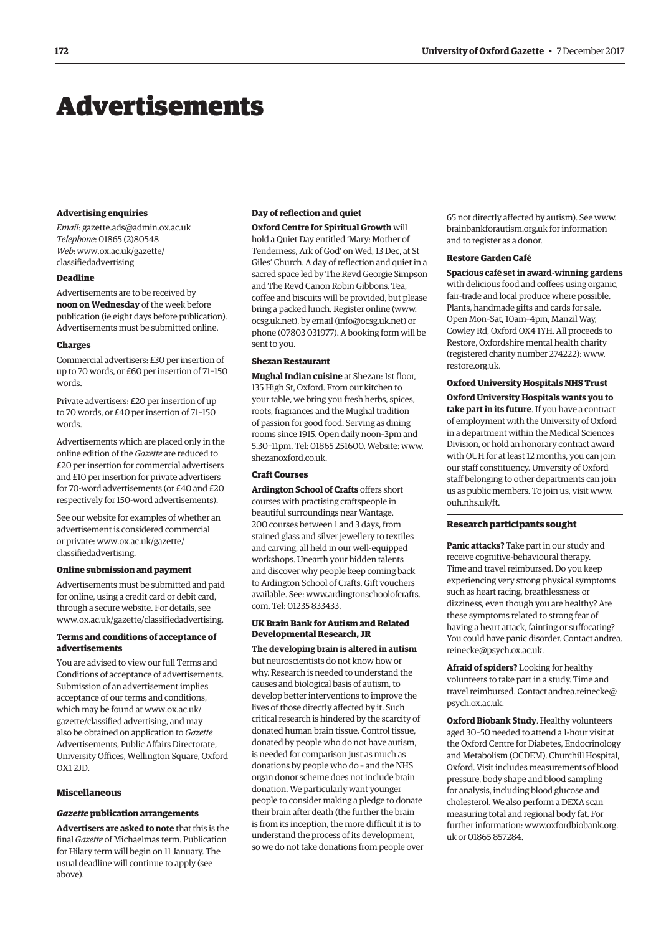# <span id="page-9-0"></span>Advertisements

#### **Advertising enquiries**

*Email*: [gazette.ads@admin.ox.ac.uk](mailto:gazette.ads@admin.ox.ac.uk)  *Telephone*: 01865 (2)80548 *Web*[: www.ox.ac.uk/gazette/](www.ox.ac.uk/gazette/classifiedadvertising)  classifedadvertising

# **Deadline**

Advertisements are to be received by **noon on Wednesday** of the week before publication (ie eight days before publication). Advertisements must be submitted online.

## **Charges**

Commercial advertisers: £30 per insertion of up to 70 words, or £60 per insertion of 71–150 words.

Private advertisers: £20 per insertion of up to 70 words, or £40 per insertion of 71–150 words.

Advertisements which are placed only in the online edition of the *Gazette* are reduced to £20 per insertion for commercial advertisers and £10 per insertion for private advertisers for 70-word advertisements (or £40 and £20 respectively for 150-word advertisements).

See our website for examples of whether an advertisement is considered commercial [or private: www.ox.ac.uk/gazette/](www.ox.ac.uk/gazette/classifiedadvertising)  classifedadvertising.

#### **Online submission and payment**

Advertisements must be submitted and paid for online, using a credit card or debit card, through a secure website. For details, see [www.ox.ac.uk/gazette/classifedadvertising.](http://www.ox.ac.uk/gazette/classifiedadvertising) 

#### **Terms and conditions of acceptance of advertisements**

You are advised to view our full Terms and Conditions of acceptance of advertisements. Submission of an advertisement implies acceptance of our terms and conditions, which may be found at www.ox.ac.uk/ [gazette/classifed advertising, and may](www.ox.ac.uk/gazette/classifiedadvertising)  also be obtained on application to *Gazette*  Advertisements, Public Afairs Directorate, University Offices, Wellington Square, Oxford OX1 2JD.

#### **Miscellaneous**

# *Gazette* **publication arrangements**

**Advertisers are asked to note** that this is the final *Gazette* of Michaelmas term. Publication for Hilary term will begin on 11 January. The usual deadline will continue to apply (see above).

#### **Day of refection and quiet**

**Oxford Centre for Spiritual Growth** will hold a Quiet Day entitled 'Mary: Mother of Tenderness, Ark of God' on Wed, 13 Dec, at St Giles' Church. A day of reflection and quiet in a sacred space led by The Revd Georgie Simpson and The Revd Canon Robin Gibbons. Tea, coffee and biscuits will be provided, but please bring a packed lunch. Register online ([www.](http://www.ocsg.uk.net)  [ocsg.uk.net\), by](http://www.ocsg.uk.net) email [\(info@ocsg.uk.net\) or](mailto:info@ocsg.uk.net) phone (07803 031977). A booking form will be sent to you.

#### **Shezan Restaurant**

**Mughal Indian cuisine** at Shezan: 1st floor, 135 High St, Oxford. From our kitchen to your table, we bring you fresh herbs, spices, roots, fragrances and the Mughal tradition of passion for good food. Serving as dining rooms since 1915. Open daily noon–3pm and 5.30–11pm. Tel: 01865 251600. Website: [www.](http://www.shezanoxford.co.uk)  [shezanoxford.co.uk.](http://www.shezanoxford.co.uk) 

#### **Craft Courses**

**Ardington School of Crafts** offers short courses with practising craftspeople in beautiful surroundings near Wantage. 200 courses between 1 and 3 days, from stained glass and silver jewellery to textiles and carving, all held in our well-equipped workshops. Unearth your hidden talents and discover why people keep coming back to Ardington School of Crafts. Gift vouchers [available. See: www.ardingtonschoolofcrafts.](www.ardingtonschoolofcrafts.com)  com. Tel: 01235 833433.

# **UK Brain Bank for Autism and Related Developmental Research, JR**

**The developing brain is altered in autism**  but neuroscientists do not know how or why. Research is needed to understand the causes and biological basis of autism, to develop better interventions to improve the lives of those directly affected by it. Such critical research is hindered by the scarcity of donated human brain tissue. Control tissue, donated by people who do not have autism, is needed for comparison just as much as donations by people who do – and the NHS organ donor scheme does not include brain donation. We particularly want younger people to consider making a pledge to donate their brain after death (the further the brain is from its inception, the more difficult it is to understand the process of its development, so we do not take donations from people over

65 not directly affected by autism). See [www.](http://www.brainbankforautism.org.uk)  [brainbankforautism.org.uk fo](http://www.brainbankforautism.org.uk)r information and to register as a donor.

#### **Restore Garden Café**

**Spacious café set in award-winning gardens** 

with delicious food and coffees using organic, fair-trade and local produce where possible. Plants, handmade gifts and cards for sale. Open Mon–Sat, 10am–4pm, Manzil Way, Cowley Rd, Oxford OX4 1YH. All proceeds to Restore, Oxfordshire mental health charity (registered charity number 274222): [www.](http://www.restore.org.uk)  [restore.org.uk.](http://www.restore.org.uk) 

## **Oxford University Hospitals NHS Trust**

**Oxford University Hospitals wants you to take part in its future**. If you have a contract of employment with the University of Oxford in a department within the Medical Sciences Division, or hold an honorary contract award with OUH for at least 12 months, you can join our staff constituency. University of Oxford staff belonging to other departments can join us as public members. To join us, visit [www.](http://www.ouh.nhs.uk/ft)  [ouh.nhs.uk/ft.](http://www.ouh.nhs.uk/ft) 

#### **Research participants sought**

**Panic attacks?** Take part in our study and receive cognitive-behavioural therapy. Time and travel reimbursed. Do you keep experiencing very strong physical symptoms such as heart racing, breathlessness or dizziness, even though you are healthy? Are these symptoms related to strong fear of having a heart attack, fainting or suffocating? [You could have panic disorder. Contact andrea.](mailto:andrea.reinecke@psych.ox.ac.uk)  reinecke@psych.ox.ac.uk.

**Afraid of spiders?** Looking for healthy volunteers to take part in a study. Time and [travel reimbursed. Contact andrea.reinecke@](mailto:andrea.reinecke@psych.ox.ac.uk)  psych.ox.ac.uk.

**Oxford Biobank Study**. Healthy volunteers aged 30–50 needed to attend a 1-hour visit at the Oxford Centre for Diabetes, Endocrinology and Metabolism (OCDEM), Churchill Hospital, Oxford. Visit includes measurements of blood pressure, body shape and blood sampling for analysis, including blood glucose and cholesterol. We also perform a DEXA scan measuring total and regional body fat. For [further information: www.oxfordbiobank.org.](www.oxfordbiobank.org.uk)  uk or 01865 857284.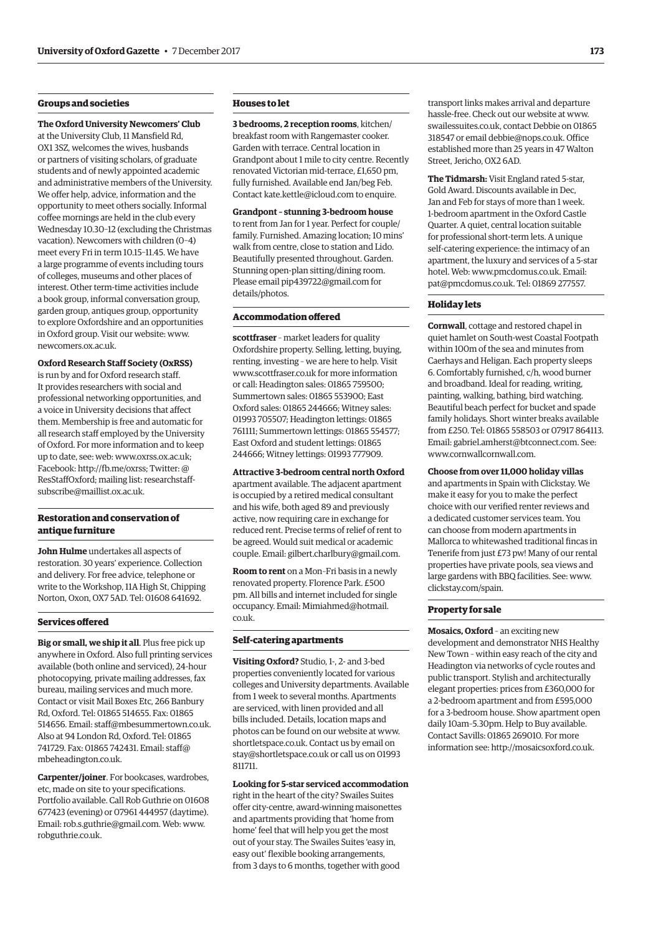# **Groups and societies**

**The Oxford University Newcomers' Club**  at the University Club, 11 Mansfield Rd, OX1 3SZ, welcomes the wives, husbands or partners of visiting scholars, of graduate students and of newly appointed academic and administrative members of the University. We offer help, advice, information and the opportunity to meet others socially. Informal coffee mornings are held in the club every Wednesday 10.30–12 (excluding the Christmas vacation). Newcomers with children (0–4) meet every Fri in term 10.15–11.45. We have a large programme of events including tours of colleges, museums and other places of interest. Other term-time activities include a book group, informal conversation group, garden group, antiques group, opportunity to explore Oxfordshire and an opportunities in Oxford group. Visit our website: [www.](http://www.newcomers.ox.ac.uk)  [newcomers.ox.ac.uk.](http://www.newcomers.ox.ac.uk) 

## **Oxford Research Staff Society (OxRSS)**

is run by and for Oxford research staff. It provides researchers with social and professional networking opportunities, and a voice in University decisions that affect them. Membership is free and automatic for all research staff employed by the University of Oxford. For more information and to keep up to date, see: web: [www.oxrss.ox.ac.uk;](http://www.oxrss.ox.ac.uk)  Facebook: [http://fb.me/oxrss; Tw](http://fb.me/oxrss)itter: @ [ResStaffOxford; mailing list: researchstaff](mailto:researchstaff-subscribe@maillist.ox.ac.uk)subscribe@maillist.ox.ac.uk.

# **Restoration and conservation of antique furniture**

**John Hulme** undertakes all aspects of restoration. 30 years' experience. Collection and delivery. For free advice, telephone or write to the Workshop, 11A High St, Chipping Norton, Oxon, OX7 5AD. Tel: 01608 641692.

#### **Services ofered**

**Big or small, we ship it all**. Plus free pick up anywhere in Oxford. Also full printing services available (both online and serviced), 24-hour photocopying, private mailing addresses, fax bureau, mailing services and much more. Contact or visit Mail Boxes Etc, 266 Banbury Rd, Oxford. Tel: 01865 514655. Fax: 01865 514656. Email: [staff@mbesummertown.co.uk.](mailto:staff@mbesummertown.co.uk)  Also at 94 London Rd, Oxford. Tel: 01865 [741729. Fax: 01865 742431. Email: staff@](mailto:staff@mbeheadington.co.uk)  mbeheadington.co.uk.

**Carpenter/joiner**. For bookcases, wardrobes, etc, made on site to your specifications. Portfolio available. Call Rob Guthrie on 01608 677423 (evening) or 07961 444957 (daytime). Email: [rob.s.guthrie@gmail.com. W](mailto:rob.s.guthrie@gmail.com)eb: [www.](http://www.robguthrie.co.uk)  [robguthrie.co.uk.](http://www.robguthrie.co.uk) 

# **Houses to let**

**3 bedrooms, 2 reception rooms**, kitchen/ breakfast room with Rangemaster cooker. Garden with terrace. Central location in Grandpont about 1 mile to city centre. Recently renovated Victorian mid-terrace, £1,650 pm, fully furnished. Available end Jan/beg Feb. Contact [kate.kettle@icloud.com to](mailto:kate.kettle@icloud.com) enquire.

# **Grandpont – stunning 3-bedroom house**

to rent from Jan for 1 year. Perfect for couple/ family. Furnished. Amazing location; 10 mins' walk from centre, close to station and Lido. Beautifully presented throughout. Garden. Stunning open-plan sitting/dining room. Please email [pip439722@gmail.com for](mailto:pip439722@gmail.com) details/photos.

#### **Accommodation ofered**

**scottfraser** – market leaders for quality Oxfordshire property. Selling, letting, buying, renting, investing – we are here to help. Visit [www.scottfraser.co.uk fo](http://www.scottfraser.co.uk)r more information or call: Headington sales: 01865 759500; Summertown sales: 01865 553900; East Oxford sales: 01865 244666; Witney sales: 01993 705507; Headington lettings: 01865 761111; Summertown lettings: 01865 554577; East Oxford and student lettings: 01865 244666; Witney lettings: 01993 777909.

**Attractive 3-bedroom central north Oxford**  apartment available. The adjacent apartment is occupied by a retired medical consultant and his wife, both aged 89 and previously active, now requiring care in exchange for reduced rent. Precise terms of relief of rent to be agreed. Would suit medical or academic couple. Email: [gilbert.charlbury@gmail.com.](mailto:gilbert.charlbury@gmail.com) 

**Room to rent** on a Mon–Fri basis in a newly renovated property. Florence Park. £500 pm. All bills and internet included for single [occupancy. Email: Mimiahmed@hotmail.](mailto:mimiahmed@hotmail.co.uk)  co.uk.

#### **Self-catering apartments**

**Visiting Oxford?** Studio, 1-, 2- and 3-bed properties conveniently located for various colleges and University departments. Available from 1 week to several months. Apartments are serviced, with linen provided and all bills included. Details, location maps and photos can be found on our website at [www.](http://www.shortletspace.co.uk)  [shortletspace.co.uk. Co](http://www.shortletspace.co.uk)ntact us by email on [stay@shortletspace.co.uk or](mailto:stay@shortletspace.co.uk) call us on 01993 811711.

#### **Looking for 5-star serviced accommodation**

right in the heart of the city? Swailes Suites offer city-centre, award-winning maisonettes and apartments providing that 'home from home' feel that will help you get the most out of your stay. The Swailes Suites 'easy in, easy out' flexible booking arrangements, from 3 days to 6 months, together with good

transport links makes arrival and departure hassle-free. Check out our website at [www.](http://www.swailessuites.co.uk)  [swailessuites.co.uk, co](http://www.swailessuites.co.uk)ntact Debbie on 01865 318547 or email [debbie@nops.co.uk. Of](mailto:debbie@nops.co.uk)fice established more than 25 years in 47 Walton Street, Jericho, OX2 6AD.

**The Tidmarsh:** Visit England rated 5-star, Gold Award. Discounts available in Dec, Jan and Feb for stays of more than 1 week. 1-bedroom apartment in the Oxford Castle Quarter. A quiet, central location suitable for professional short-term lets. A unique self-catering experience: the intimacy of an apartment, the luxury and services of a 5-star hotel. Web: [www.pmcdomus.co.uk. Em](http://www.pmcdomus.co.uk)ail: [pat@pmcdomus.co.uk. Te](mailto:pat@pmcdomus.co.uk)l: 01869 277557.

## **Holiday lets**

**Cornwall**, cottage and restored chapel in quiet hamlet on South-west Coastal Footpath within 100m of the sea and minutes from Caerhays and Heligan. Each property sleeps 6. Comfortably furnished, c/h, wood burner and broadband. Ideal for reading, writing, painting, walking, bathing, bird watching. Beautiful beach perfect for bucket and spade family holidays. Short winter breaks available from £250. Tel: 01865 558503 or 07917 864113. Email: [gabriel.amherst@btconnect.com. Se](mailto:gabriel.amherst@btconnect.com)e: [www.cornwallcornwall.com.](http://www.cornwallcornwall.com) 

**Choose from over 11,000 holiday villas**  and apartments in Spain with Clickstay. We make it easy for you to make the perfect choice with our verified renter reviews and a dedicated customer services team. You can choose from modern apartments in Mallorca to whitewashed traditional fincas in Tenerife from just £73 pw! Many of our rental properties have private pools, sea views and large gardens with BBQ facilities. See: [www.](http://www.clickstay.com/spain)  [clickstay.com/spain.](http://www.clickstay.com/spain) 

#### **Property for sale**

**Mosaics, Oxford** – an exciting new development and demonstrator NHS Healthy New Town – within easy reach of the city and Headington via networks of cycle routes and public transport. Stylish and architecturally elegant properties: prices from £360,000 for a 2-bedroom apartment and from £595,000 for a 3-bedroom house. Show apartment open daily 10am–5.30pm. Help to Buy available. Contact Savills: 01865 269010. For more information see: [http://mosaicsoxford.co.uk.](http://mosaicsoxford.co.uk)